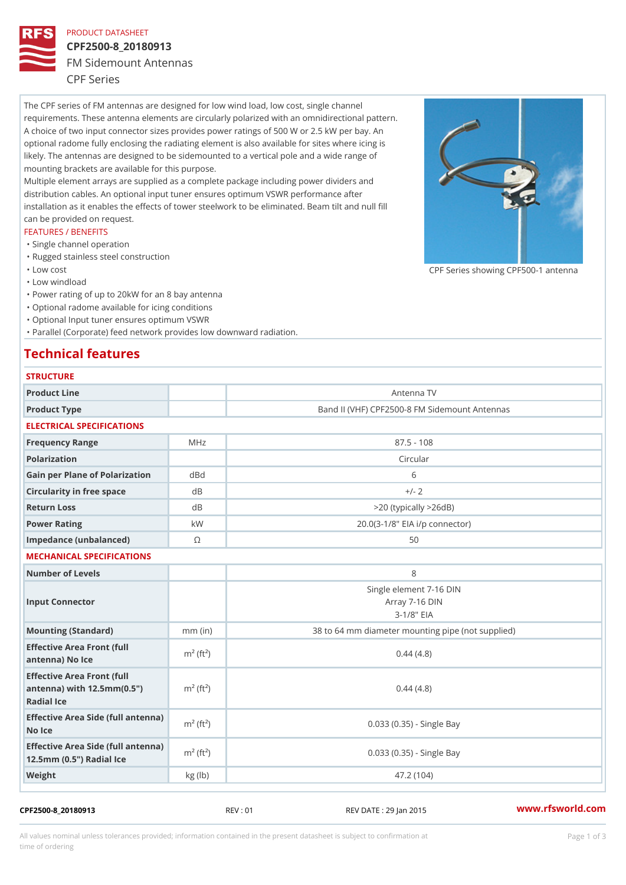## PRODUCT DATASHEET

# CPF2500-8\_20180913

FM Sidemount Antennas

CPF Series

The CPF series of FM antennas are designed for low wind load, low cost, single channel requirements. These antenna elements are circularly polarized with an omnidirectional pattern. A choice of two input connector sizes provides power ratings of 500 W or 2.5 kW per bay. An optional radome fully enclosing the radiating element is also available for sites where icing is likely. The antennas are designed to be sidemounted to a vertical pole and a wide range of mounting brackets are available for this purpose. Multiple element arrays are supplied as a complete package including power dividers and distribution cables. An optional input tuner ensures optimum VSWR performance after

installation as it enables the effects of tower steelwork to be eliminated. Beam tilt and null fill can be provided on request.

### FEATURES / BENEFITS

- "Single channel operation
- "Rugged stainless steel construction
- "Low cost

"Low windload

"Power rating of up to 20kW for an 8 bay antenna

- "Optional radome available for icing conditions
- "Optional Input tuner ensures optimum VSWR

"Parallel (Corporate) feed network provides low downward radiation.

# Technical features

| <b>STRUCTURE</b>                                                                                            |                         |                                                              |
|-------------------------------------------------------------------------------------------------------------|-------------------------|--------------------------------------------------------------|
| Product Line                                                                                                |                         | Antenna TV                                                   |
| Product Type                                                                                                |                         | Band II (VHF) CPF2500-8 FM Sidemount Antennas                |
| ELECTRICAL SPECIFICATIONS                                                                                   |                         |                                                              |
| Frequency Range                                                                                             | MHz                     | $87.5 - 108$                                                 |
| Polarization                                                                                                |                         | Circular                                                     |
| Gain per Plane of Polarizat doBnd                                                                           |                         | 6                                                            |
| Circularity in free space                                                                                   | d B                     | $+/- 2$                                                      |
| Return Loss                                                                                                 | $d$ B                   | $>$ 20 (typically $>$ 26dB)                                  |
| Power Rating                                                                                                | k W                     | 20.0(3-1/8" EIA i/p connector)                               |
| Impedance (unbalanced)                                                                                      | $\odot$                 | 50                                                           |
| MECHANICAL SPECIFICATIONS                                                                                   |                         |                                                              |
| Number of Levels                                                                                            |                         | 8                                                            |
| Input Connector                                                                                             |                         | Single element 7-16 DIN<br>Array 7-16 DIN<br>$3 - 1/8$ $EIA$ |
| Mounting (Standard)                                                                                         | $mm$ (in)               | 38 to 64 mm diameter mounting pipe (not supplied)            |
| Effective Area Front (full<br>antenna) No Ice                                                               | $m2$ (ft <sup>2</sup> ) | 0.44(4.8)                                                    |
| Effective Area Front (full<br>antenna) with $12.5$ mm $(0.5$ " $\dot{m}$ <sup>2</sup> $(ft2)$<br>Radial Ice |                         | 0.44(4.8)                                                    |
| Effective Area Side (full antenna)<br>No Ice                                                                |                         | 0.033 (0.35) - Single Bay                                    |
| Effective Area Side (full antenna)<br>12.5mm (0.5") Radial Ice                                              |                         | 0.033 (0.35) - Single Bay                                    |
| Weight                                                                                                      | kg (lb)                 | 47.2 (104)                                                   |

CPF2500-8\_20180913 REV : 01 REV DATE : 29 Jan 2015 [www.](https://www.rfsworld.com)rfsworld.com

CPF Series showing CPF500-1 and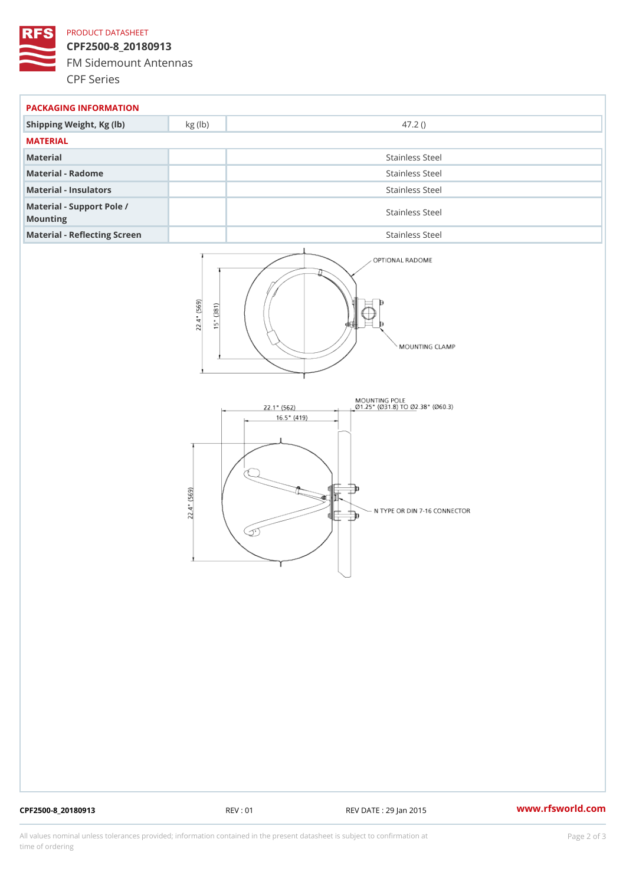## PRODUCT DATASHEET

CPF2500-8\_20180913 FM Sidemount Antennas CPF Series

| PACKAGING INFORMATION                 |                 |  |
|---------------------------------------|-----------------|--|
| Shipping Weight, Kg (lb) kg (lb)      | 47.2()          |  |
| MATERIAL                              |                 |  |
| Material                              | Stainless Steel |  |
| Material - Radome                     | Stainless Steel |  |
| Material - Insulators                 | Stainless Steel |  |
| Material - Support Pole /<br>Mounting | Stainless Steel |  |
| Material - Reflecting Screen          | Stainless Steel |  |

CPF2500-8\_20180913 REV : 01 REV DATE : 29 Jan 2015 [www.](https://www.rfsworld.com)rfsworld.com